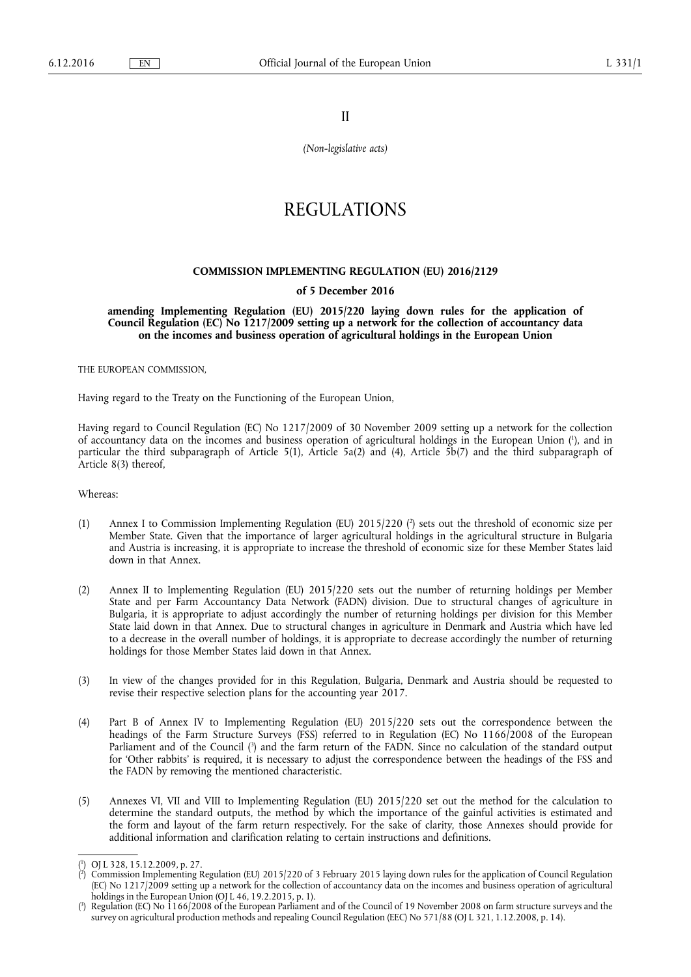II

*(Non-legislative acts)* 

# REGULATIONS

## **COMMISSION IMPLEMENTING REGULATION (EU) 2016/2129**

# **of 5 December 2016**

**amending Implementing Regulation (EU) 2015/220 laying down rules for the application of Council Regulation (EC) No 1217/2009 setting up a network for the collection of accountancy data on the incomes and business operation of agricultural holdings in the European Union** 

THE EUROPEAN COMMISSION,

Having regard to the Treaty on the Functioning of the European Union,

Having regard to Council Regulation (EC) No 1217/2009 of 30 November 2009 setting up a network for the collection of accountancy data on the incomes and business operation of agricultural holdings in the European Union ( 1 ), and in particular the third subparagraph of Article 5(1), Article 5a(2) and (4), Article  $\bar{5}b(7)$  and the third subparagraph of Article 8(3) thereof,

#### Whereas:

- (1) Annex I to Commission Implementing Regulation (EU) 2015/220 (<sup>2</sup>) sets out the threshold of economic size per Member State. Given that the importance of larger agricultural holdings in the agricultural structure in Bulgaria and Austria is increasing, it is appropriate to increase the threshold of economic size for these Member States laid down in that Annex.
- (2) Annex II to Implementing Regulation (EU) 2015/220 sets out the number of returning holdings per Member State and per Farm Accountancy Data Network (FADN) division. Due to structural changes of agriculture in Bulgaria, it is appropriate to adjust accordingly the number of returning holdings per division for this Member State laid down in that Annex. Due to structural changes in agriculture in Denmark and Austria which have led to a decrease in the overall number of holdings, it is appropriate to decrease accordingly the number of returning holdings for those Member States laid down in that Annex.
- (3) In view of the changes provided for in this Regulation, Bulgaria, Denmark and Austria should be requested to revise their respective selection plans for the accounting year 2017.
- (4) Part B of Annex IV to Implementing Regulation (EU) 2015/220 sets out the correspondence between the headings of the Farm Structure Surveys (FSS) referred to in Regulation (EC) No 1166/2008 of the European Parliament and of the Council ( 3 ) and the farm return of the FADN. Since no calculation of the standard output for 'Other rabbits' is required, it is necessary to adjust the correspondence between the headings of the FSS and the FADN by removing the mentioned characteristic.
- (5) Annexes VI, VII and VIII to Implementing Regulation (EU) 2015/220 set out the method for the calculation to determine the standard outputs, the method by which the importance of the gainful activities is estimated and the form and layout of the farm return respectively. For the sake of clarity, those Annexes should provide for additional information and clarification relating to certain instructions and definitions.

<sup>(</sup> 1 ) OJ L 328, 15.12.2009, p. 27.

<sup>(</sup> 2 ) Commission Implementing Regulation (EU) 2015/220 of 3 February 2015 laying down rules for the application of Council Regulation (EC) No 1217/2009 setting up a network for the collection of accountancy data on the incomes and business operation of agricultural holdings in the European Union (OJ L 46, 19.2.2015, p. 1).

<sup>(</sup> 3 ) Regulation (EC) No 1166/2008 of the European Parliament and of the Council of 19 November 2008 on farm structure surveys and the survey on agricultural production methods and repealing Council Regulation (EEC) No 571/88 (OJ L 321, 1.12.2008, p. 14).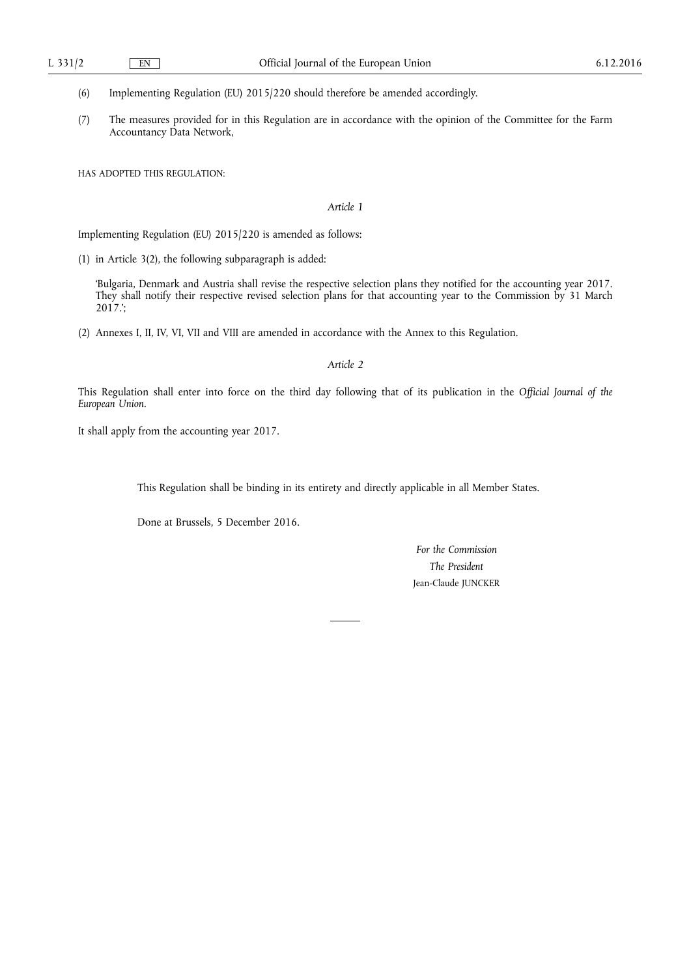(6) Implementing Regulation (EU) 2015/220 should therefore be amended accordingly.

(7) The measures provided for in this Regulation are in accordance with the opinion of the Committee for the Farm Accountancy Data Network,

HAS ADOPTED THIS REGULATION:

# *Article 1*

Implementing Regulation (EU) 2015/220 is amended as follows:

(1) in Article 3(2), the following subparagraph is added:

'Bulgaria, Denmark and Austria shall revise the respective selection plans they notified for the accounting year 2017. They shall notify their respective revised selection plans for that accounting year to the Commission by 31 March 2017.';

(2) Annexes I, II, IV, VI, VII and VIII are amended in accordance with the Annex to this Regulation.

#### *Article 2*

This Regulation shall enter into force on the third day following that of its publication in the *Official Journal of the European Union*.

It shall apply from the accounting year 2017.

This Regulation shall be binding in its entirety and directly applicable in all Member States.

Done at Brussels, 5 December 2016.

*For the Commission The President*  Jean-Claude JUNCKER